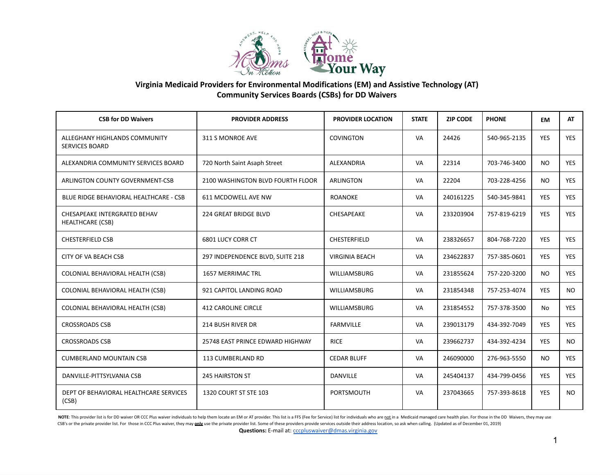

| <b>CSB for DD Waivers</b>                               | <b>PROVIDER ADDRESS</b>           | <b>PROVIDER LOCATION</b> | <b>STATE</b> | <b>ZIP CODE</b> | <b>PHONE</b> | <b>EM</b>  | <b>AT</b>  |
|---------------------------------------------------------|-----------------------------------|--------------------------|--------------|-----------------|--------------|------------|------------|
| ALLEGHANY HIGHLANDS COMMUNITY<br><b>SERVICES BOARD</b>  | 311 S MONROE AVE                  | <b>COVINGTON</b>         | VA           | 24426           | 540-965-2135 | <b>YES</b> | <b>YES</b> |
| ALEXANDRIA COMMUNITY SERVICES BOARD                     | 720 North Saint Asaph Street      | ALEXANDRIA               | VA           | 22314           | 703-746-3400 | NO.        | <b>YES</b> |
| ARLINGTON COUNTY GOVERNMENT-CSB                         | 2100 WASHINGTON BLVD FOURTH FLOOR | <b>ARLINGTON</b>         | VA           | 22204           | 703-228-4256 | <b>NO</b>  | <b>YES</b> |
| BLUE RIDGE BEHAVIORAL HEALTHCARE - CSB                  | 611 MCDOWELL AVE NW               | <b>ROANOKE</b>           | VA           | 240161225       | 540-345-9841 | <b>YES</b> | YES        |
| CHESAPEAKE INTERGRATED BEHAV<br><b>HEALTHCARE (CSB)</b> | <b>224 GREAT BRIDGE BLVD</b>      | CHESAPEAKE               | VA           | 233203904       | 757-819-6219 | <b>YES</b> | <b>YES</b> |
| <b>CHESTERFIELD CSB</b>                                 | <b>6801 LUCY CORR CT</b>          | <b>CHESTERFIELD</b>      | VA           | 238326657       | 804-768-7220 | <b>YES</b> | <b>YES</b> |
| CITY OF VA BEACH CSB                                    | 297 INDEPENDENCE BLVD, SUITE 218  | <b>VIRGINIA BEACH</b>    | VA           | 234622837       | 757-385-0601 | <b>YES</b> | <b>YES</b> |
| COLONIAL BEHAVIORAL HEALTH (CSB)                        | <b>1657 MERRIMAC TRL</b>          | <b>WILLIAMSBURG</b>      | VA           | 231855624       | 757-220-3200 | <b>NO</b>  | <b>YES</b> |
| COLONIAL BEHAVIORAL HEALTH (CSB)                        | 921 CAPITOL LANDING ROAD          | <b>WILLIAMSBURG</b>      | VA           | 231854348       | 757-253-4074 | <b>YES</b> | <b>NO</b>  |
| COLONIAL BEHAVIORAL HEALTH (CSB)                        | <b>412 CAROLINE CIRCLE</b>        | <b>WILLIAMSBURG</b>      | VA           | 231854552       | 757-378-3500 | No         | <b>YES</b> |
| <b>CROSSROADS CSB</b>                                   | <b>214 BUSH RIVER DR</b>          | <b>FARMVILLE</b>         | VA           | 239013179       | 434-392-7049 | <b>YES</b> | <b>YES</b> |
| <b>CROSSROADS CSB</b>                                   | 25748 EAST PRINCE EDWARD HIGHWAY  | <b>RICE</b>              | VA           | 239662737       | 434-392-4234 | <b>YES</b> | NO.        |
| <b>CUMBERLAND MOUNTAIN CSB</b>                          | 113 CUMBERLAND RD                 | <b>CEDAR BLUFF</b>       | VA           | 246090000       | 276-963-5550 | <b>NO</b>  | <b>YES</b> |
| DANVILLE-PITTSYLVANIA CSB                               | <b>245 HAIRSTON ST</b>            | <b>DANVILLE</b>          | VA           | 245404137       | 434-799-0456 | <b>YES</b> | <b>YES</b> |
| DEPT OF BEHAVIORAL HEALTHCARE SERVICES<br>(CSB)         | 1320 COURT ST STE 103             | PORTSMOUTH               | VA           | 237043665       | 757-393-8618 | <b>YES</b> | NO.        |

NOTE: This provider list is for DD waiver OR CCC Plus waiver individuals to help them locate an EM or AT provider. This list is a FFS (Fee for Service) list for individuals who are not in a Medicaid managed care health pla CSB's or the private provider list. For those in CCC Plus waiver, they may only use the private provider list. Some of these providers provide services outside their address location, so ask when calling. (Updated as of De Questions: E-mail at: *[cccpluswaiver@dmas.virginia.gov](mailto:cccpluswaiver@dmas.virginia.gov)*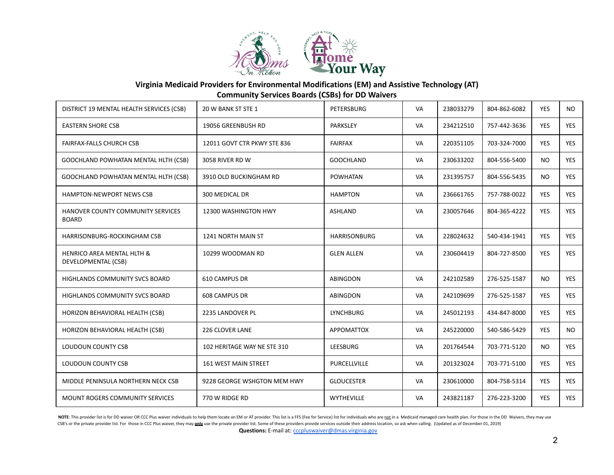

| DISTRICT 19 MENTAL HEALTH SERVICES (CSB)          | 20 W BANK ST STE 1          | PETERSBURG          | VA        | 238033279 | 804-862-6082 | <b>YES</b> | NO.        |
|---------------------------------------------------|-----------------------------|---------------------|-----------|-----------|--------------|------------|------------|
| <b>EASTERN SHORE CSB</b>                          | 19056 GREENBUSH RD          | <b>PARKSLEY</b>     | <b>VA</b> | 234212510 | 757-442-3636 | <b>YES</b> | <b>YES</b> |
| <b>FAIRFAX-FALLS CHURCH CSB</b>                   | 12011 GOVT CTR PKWY STE 836 | <b>FAIRFAX</b>      | VA        | 220351105 | 703-324-7000 | <b>YES</b> | <b>YES</b> |
| GOOCHLAND POWHATAN MENTAL HLTH (CSB)              | 3058 RIVER RD W             | <b>GOOCHLAND</b>    | VA        | 230633202 | 804-556-5400 | <b>NO</b>  | <b>YES</b> |
| GOOCHLAND POWHATAN MENTAL HLTH (CSB)              | 3910 OLD BUCKINGHAM RD      | <b>POWHATAN</b>     | VA        | 231395757 | 804-556-5435 | <b>NO</b>  | <b>YES</b> |
| <b>HAMPTON-NEWPORT NEWS CSB</b>                   | 300 MEDICAL DR              | <b>HAMPTON</b>      | VA        | 236661765 | 757-788-0022 | <b>YES</b> | <b>YES</b> |
| HANOVER COUNTY COMMUNITY SERVICES<br><b>BOARD</b> | 12300 WASHINGTON HWY        | <b>ASHLAND</b>      | VA        | 230057646 | 804-365-4222 | <b>YES</b> | <b>YES</b> |
| HARRISONBURG-ROCKINGHAM CSB                       | 1241 NORTH MAIN ST          | <b>HARRISONBURG</b> | VA        | 228024632 | 540-434-1941 | <b>YES</b> | <b>YES</b> |
| HENRICO AREA MENTAL HLTH &<br>DEVELOPMENTAL (CSB) | 10299 WOODMAN RD            | <b>GLEN ALLEN</b>   | VA        | 230604419 | 804-727-8500 | <b>YES</b> | YES        |
| HIGHLANDS COMMUNITY SVCS BOARD                    | 610 CAMPUS DR               | <b>ABINGDON</b>     | VA        | 242102589 | 276-525-1587 | <b>NO</b>  | <b>YES</b> |
| <b>HIGHLANDS COMMUNITY SVCS BOARD</b>             | <b>608 CAMPUS DR</b>        | ABINGDON            | VA        | 242109699 | 276-525-1587 | <b>YES</b> | <b>YES</b> |
| HORIZON BEHAVIORAL HEALTH (CSB)                   | 2235 LANDOVER PL            | <b>LYNCHBURG</b>    | VA        | 245012193 | 434-847-8000 | <b>YES</b> | <b>YES</b> |
| HORIZON BEHAVIORAL HEALTH (CSB)                   | 226 CLOVER LANE             | <b>APPOMATTOX</b>   | VA        | 245220000 | 540-586-5429 | <b>YES</b> | NO.        |
| <b>LOUDOUN COUNTY CSB</b>                         | 102 HERITAGE WAY NE STE 310 | LEESBURG            | VA        | 201764544 | 703-771-5120 | <b>NO</b>  | <b>YES</b> |
| <b>LOUDOUN COUNTY CSB</b>                         | <b>161 WEST MAIN STREET</b> | PURCELLVILLE        | VA        | 201323024 | 703-771-5100 | <b>YES</b> | <b>YES</b> |
| MIDDLE PENINSULA NORTHERN NECK CSB                | 9228 GEORGE WSHGTON MEM HWY | <b>GLOUCESTER</b>   | VA        | 230610000 | 804-758-5314 | <b>YES</b> | <b>YES</b> |
| <b>MOUNT ROGERS COMMUNITY SERVICES</b>            | 770 W RIDGE RD              | <b>WYTHEVILLE</b>   | VA        | 243821187 | 276-223-3200 | <b>YES</b> | <b>YES</b> |

NOTE: This provider list is for DD waiver OR CCC Plus waiver individuals to help them locate an EM or AT provider. This list is a FFS (Fee for Service) list for individuals who are not in a Medicaid managed care health pla CSB's or the private provider list. For those in CCC Plus waiver, they may only use the private provider list. Some of these providers provide services outside their address location, so ask when calling. (Updated as of De Questions: E-mail at: *[cccpluswaiver@dmas.virginia.gov](mailto:cccpluswaiver@dmas.virginia.gov)*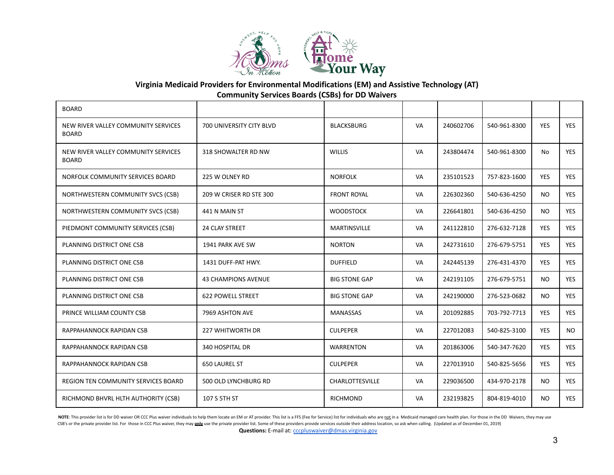

| <b>BOARD</b>                                        |                            |                        |           |           |              |            |            |
|-----------------------------------------------------|----------------------------|------------------------|-----------|-----------|--------------|------------|------------|
| NEW RIVER VALLEY COMMUNITY SERVICES<br><b>BOARD</b> | 700 UNIVERSITY CITY BLVD   | <b>BLACKSBURG</b>      | VA        | 240602706 | 540-961-8300 | <b>YES</b> | <b>YES</b> |
| NEW RIVER VALLEY COMMUNITY SERVICES<br><b>BOARD</b> | 318 SHOWALTER RD NW        | <b>WILLIS</b>          | VA        | 243804474 | 540-961-8300 | No         | <b>YES</b> |
| NORFOLK COMMUNITY SERVICES BOARD                    | 225 W OLNEY RD             | <b>NORFOLK</b>         | VA        | 235101523 | 757-823-1600 | <b>YES</b> | <b>YES</b> |
| NORTHWESTERN COMMUNITY SVCS (CSB)                   | 209 W CRISER RD STE 300    | <b>FRONT ROYAL</b>     | <b>VA</b> | 226302360 | 540-636-4250 | <b>NO</b>  | <b>YES</b> |
| NORTHWESTERN COMMUNITY SVCS (CSB)                   | 441 N MAIN ST              | <b>WOODSTOCK</b>       | VA        | 226641801 | 540-636-4250 | <b>NO</b>  | <b>YES</b> |
| PIEDMONT COMMUNITY SERVICES (CSB)                   | <b>24 CLAY STREET</b>      | <b>MARTINSVILLE</b>    | VA        | 241122810 | 276-632-7128 | <b>YES</b> | <b>YES</b> |
| PLANNING DISTRICT ONE CSB                           | 1941 PARK AVE SW           | <b>NORTON</b>          | VA        | 242731610 | 276-679-5751 | <b>YES</b> | <b>YES</b> |
| PLANNING DISTRICT ONE CSB                           | 1431 DUFF-PAT HWY.         | <b>DUFFIELD</b>        | VA        | 242445139 | 276-431-4370 | <b>YES</b> | <b>YES</b> |
| PLANNING DISTRICT ONE CSB                           | <b>43 CHAMPIONS AVENUE</b> | <b>BIG STONE GAP</b>   | VA        | 242191105 | 276-679-5751 | <b>NO</b>  | <b>YES</b> |
| PLANNING DISTRICT ONE CSB                           | <b>622 POWELL STREET</b>   | <b>BIG STONE GAP</b>   | VA        | 242190000 | 276-523-0682 | <b>NO</b>  | <b>YES</b> |
| PRINCE WILLIAM COUNTY CSB                           | 7969 ASHTON AVE            | <b>MANASSAS</b>        | VA        | 201092885 | 703-792-7713 | <b>YES</b> | <b>YES</b> |
| RAPPAHANNOCK RAPIDAN CSB                            | <b>227 WHITWORTH DR</b>    | <b>CULPEPER</b>        | VA        | 227012083 | 540-825-3100 | <b>YES</b> | NO.        |
| RAPPAHANNOCK RAPIDAN CSB                            | 340 HOSPITAL DR            | <b>WARRENTON</b>       | VA        | 201863006 | 540-347-7620 | <b>YES</b> | <b>YES</b> |
| RAPPAHANNOCK RAPIDAN CSB                            | <b>650 LAUREL ST</b>       | <b>CULPEPER</b>        | VA        | 227013910 | 540-825-5656 | <b>YES</b> | <b>YES</b> |
| <b>REGION TEN COMMUNITY SERVICES BOARD</b>          | 500 OLD LYNCHBURG RD       | <b>CHARLOTTESVILLE</b> | VA        | 229036500 | 434-970-2178 | <b>NO</b>  | <b>YES</b> |
| RICHMOND BHVRL HLTH AUTHORITY (CSB)                 | 107 S 5TH ST               | <b>RICHMOND</b>        | VA        | 232193825 | 804-819-4010 | <b>NO</b>  | <b>YES</b> |

NOTE: This provider list is for DD waiver OR CCC Plus waiver individuals to help them locate an EM or AT provider. This list is a FFS (Fee for Service) list for individuals who are not in a Medicaid managed care health pla CSB's or the private provider list. For those in CCC Plus waiver, they may only use the private provider list. Some of these providers provide services outside their address location, so ask when calling. (Updated as of De Questions: E-mail at: *[cccpluswaiver@dmas.virginia.gov](mailto:cccpluswaiver@dmas.virginia.gov)*